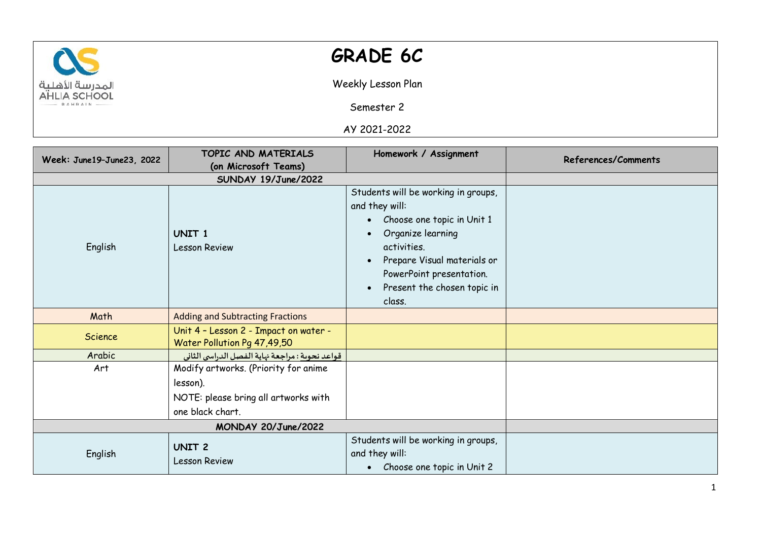

## **GRADE 6C**

Weekly Lesson Plan

Semester 2

AY 2021-2022

| Week: June19-June23, 2022 | TOPIC AND MATERIALS                                                                                          | Homework / Assignment                                                                                                                                                                                                                                              | References/Comments |
|---------------------------|--------------------------------------------------------------------------------------------------------------|--------------------------------------------------------------------------------------------------------------------------------------------------------------------------------------------------------------------------------------------------------------------|---------------------|
|                           | (on Microsoft Teams)                                                                                         |                                                                                                                                                                                                                                                                    |                     |
|                           |                                                                                                              |                                                                                                                                                                                                                                                                    |                     |
| English                   | UNIT <sub>1</sub><br><b>Lesson Review</b>                                                                    | Students will be working in groups,<br>and they will:<br>Choose one topic in Unit 1<br>$\bullet$<br>Organize learning<br>activities.<br>Prepare Visual materials or<br>$\bullet$<br>PowerPoint presentation.<br>Present the chosen topic in<br>$\bullet$<br>class. |                     |
| Math                      | <b>Adding and Subtracting Fractions</b>                                                                      |                                                                                                                                                                                                                                                                    |                     |
| <b>Science</b>            | Unit 4 - Lesson 2 - Impact on water -<br>Water Pollution Pg 47,49,50                                         |                                                                                                                                                                                                                                                                    |                     |
| Arabic                    | <u>قواعد نحوية</u> : مراجعة نهاية الفصل الدراسي الثاني                                                       |                                                                                                                                                                                                                                                                    |                     |
| Art                       | Modify artworks. (Priority for anime<br>lesson).<br>NOTE: please bring all artworks with<br>one black chart. |                                                                                                                                                                                                                                                                    |                     |
| MONDAY 20/June/2022       |                                                                                                              |                                                                                                                                                                                                                                                                    |                     |
| English                   | <b>UNIT 2</b><br><b>Lesson Review</b>                                                                        | Students will be working in groups,<br>and they will:<br>Choose one topic in Unit 2<br>$\bullet$                                                                                                                                                                   |                     |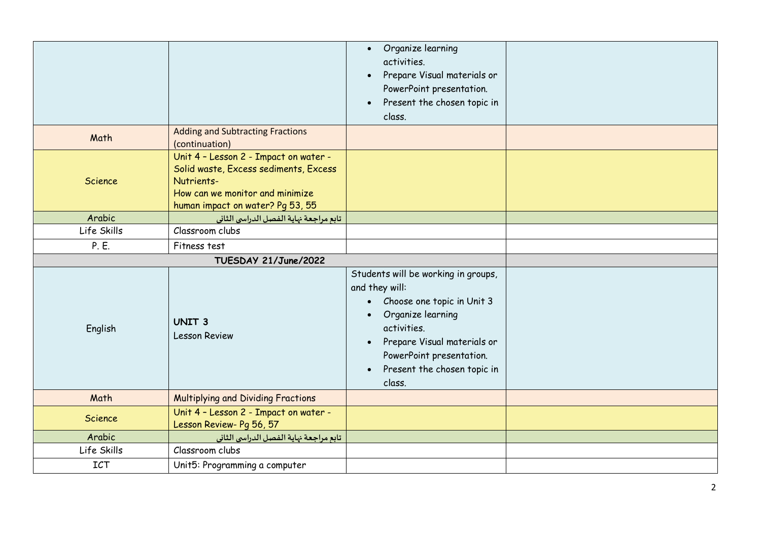|                      |                                                                                                                                                                     | • Organize learning<br>activities.<br>Prepare Visual materials or<br>$\bullet$<br>PowerPoint presentation.<br>Present the chosen topic in<br>$\bullet$<br>class.                                                                                                   |  |
|----------------------|---------------------------------------------------------------------------------------------------------------------------------------------------------------------|--------------------------------------------------------------------------------------------------------------------------------------------------------------------------------------------------------------------------------------------------------------------|--|
| Math                 | <b>Adding and Subtracting Fractions</b><br>(continuation)                                                                                                           |                                                                                                                                                                                                                                                                    |  |
| Science              | Unit 4 - Lesson 2 - Impact on water -<br>Solid waste, Excess sediments, Excess<br>Nutrients-<br>How can we monitor and minimize<br>human impact on water? Pg 53, 55 |                                                                                                                                                                                                                                                                    |  |
| Arabic               | تابع مراجعة نهاية الفصل الدراسي الثاني                                                                                                                              |                                                                                                                                                                                                                                                                    |  |
| Life Skills          | Classroom clubs                                                                                                                                                     |                                                                                                                                                                                                                                                                    |  |
| P. E.                | Fitness test                                                                                                                                                        |                                                                                                                                                                                                                                                                    |  |
| TUESDAY 21/June/2022 |                                                                                                                                                                     |                                                                                                                                                                                                                                                                    |  |
|                      |                                                                                                                                                                     |                                                                                                                                                                                                                                                                    |  |
| English              | UNIT <sub>3</sub><br><b>Lesson Review</b>                                                                                                                           | Students will be working in groups,<br>and they will:<br>Choose one topic in Unit 3<br>Organize learning<br>$\bullet$<br>activities.<br>Prepare Visual materials or<br>$\bullet$<br>PowerPoint presentation.<br>Present the chosen topic in<br>$\bullet$<br>class. |  |
| Math                 | Multiplying and Dividing Fractions                                                                                                                                  |                                                                                                                                                                                                                                                                    |  |
| <b>Science</b>       | Unit 4 - Lesson 2 - Impact on water -<br>Lesson Review- Pg 56, 57                                                                                                   |                                                                                                                                                                                                                                                                    |  |
| Arabic               | تابع مراجعة نهاية الفصل الدراسي الثاني                                                                                                                              |                                                                                                                                                                                                                                                                    |  |
| Life Skills          | Classroom clubs                                                                                                                                                     |                                                                                                                                                                                                                                                                    |  |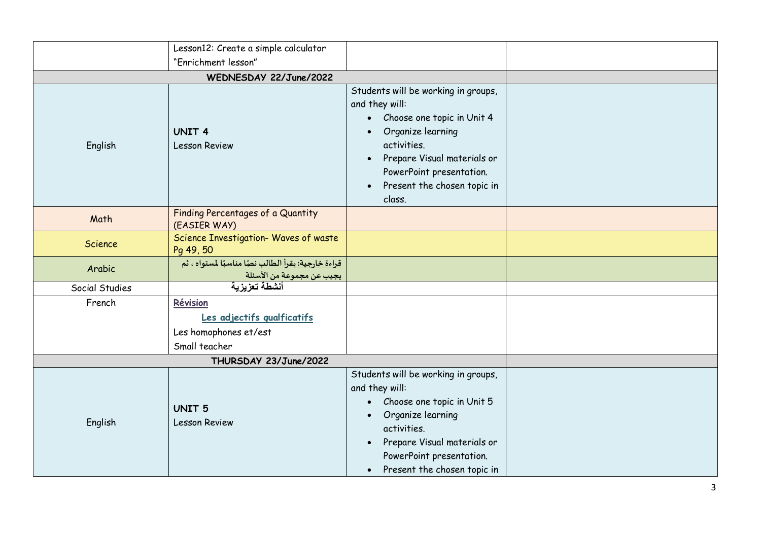|                | Lesson12: Create a simple calculator                                             |                                                                                                                                                                                                                                                                      |  |
|----------------|----------------------------------------------------------------------------------|----------------------------------------------------------------------------------------------------------------------------------------------------------------------------------------------------------------------------------------------------------------------|--|
|                | "Enrichment lesson"                                                              |                                                                                                                                                                                                                                                                      |  |
|                |                                                                                  |                                                                                                                                                                                                                                                                      |  |
| English        | <b>UNIT 4</b><br><b>Lesson Review</b>                                            | Students will be working in groups,<br>and they will:<br>• Choose one topic in Unit 4<br>Organize learning<br>$\bullet$<br>activities.<br>Prepare Visual materials or<br>$\bullet$<br>PowerPoint presentation.<br>Present the chosen topic in<br>$\bullet$<br>class. |  |
| Math           | Finding Percentages of a Quantity<br>(EASIER WAY)                                |                                                                                                                                                                                                                                                                      |  |
| Science        | Science Investigation- Waves of waste<br>Pq 49, 50                               |                                                                                                                                                                                                                                                                      |  |
| Arabic         | قراءة خارجية: يقرأ الطالب نصًا مناسبًا لمستواه ، ثم                              |                                                                                                                                                                                                                                                                      |  |
| Social Studies |                                                                                  |                                                                                                                                                                                                                                                                      |  |
| French         | Révision<br>Les adjectifs qualficatifs<br>Les homophones et/est<br>Small teacher |                                                                                                                                                                                                                                                                      |  |
|                |                                                                                  |                                                                                                                                                                                                                                                                      |  |
| English        | <b>UNIT 5</b><br><b>Lesson Review</b>                                            | Students will be working in groups,<br>and they will:<br>Choose one topic in Unit 5<br>Organize learning<br>activities.<br>Prepare Visual materials or<br>$\bullet$<br>PowerPoint presentation.<br>Present the chosen topic in<br>$\bullet$                          |  |